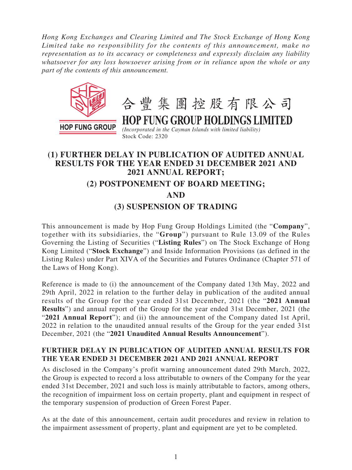*Hong Kong Exchanges and Clearing Limited and The Stock Exchange of Hong Kong Limited take no responsibility for the contents of this announcement, make no representation as to its accuracy or completeness and expressly disclaim any liability whatsoever for any loss howsoever arising from or in reliance upon the whole or any part of the contents of this announcement.*



# **(1) FURTHER DELAY IN PUBLICATION OF AUDITED ANNUAL RESULTS FOR THE YEAR ENDED 31 DECEMBER 2021 AND 2021 ANNUAL REPORT; (2) POSTPONEMENT OF BOARD MEETING; AND (3) SUSPENSION OF TRADING**

This announcement is made by Hop Fung Group Holdings Limited (the "**Company**", together with its subsidiaries, the "**Group**") pursuant to Rule 13.09 of the Rules Governing the Listing of Securities ("**Listing Rules**") on The Stock Exchange of Hong Kong Limited ("**Stock Exchange**") and Inside Information Provisions (as defined in the Listing Rules) under Part XIVA of the Securities and Futures Ordinance (Chapter 571 of the Laws of Hong Kong).

Reference is made to (i) the announcement of the Company dated 13th May, 2022 and 29th April, 2022 in relation to the further delay in publication of the audited annual results of the Group for the year ended 31st December, 2021 (the "**2021 Annual Results**") and annual report of the Group for the year ended 31st December, 2021 (the "**2021 Annual Report**"); and (ii) the announcement of the Company dated 1st April, 2022 in relation to the unaudited annual results of the Group for the year ended 31st December, 2021 (the "**2021 Unaudited Annual Results Announcement**").

### **FURTHER DELAY IN PUBLICATION OF AUDITED ANNUAL RESULTS FOR THE YEAR ENDED 31 DECEMBER 2021 AND 2021 ANNUAL REPORT**

As disclosed in the Company's profit warning announcement dated 29th March, 2022, the Group is expected to record a loss attributable to owners of the Company for the year ended 31st December, 2021 and such loss is mainly attributable to factors, among others, the recognition of impairment loss on certain property, plant and equipment in respect of the temporary suspension of production of Green Forest Paper.

As at the date of this announcement, certain audit procedures and review in relation to the impairment assessment of property, plant and equipment are yet to be completed.